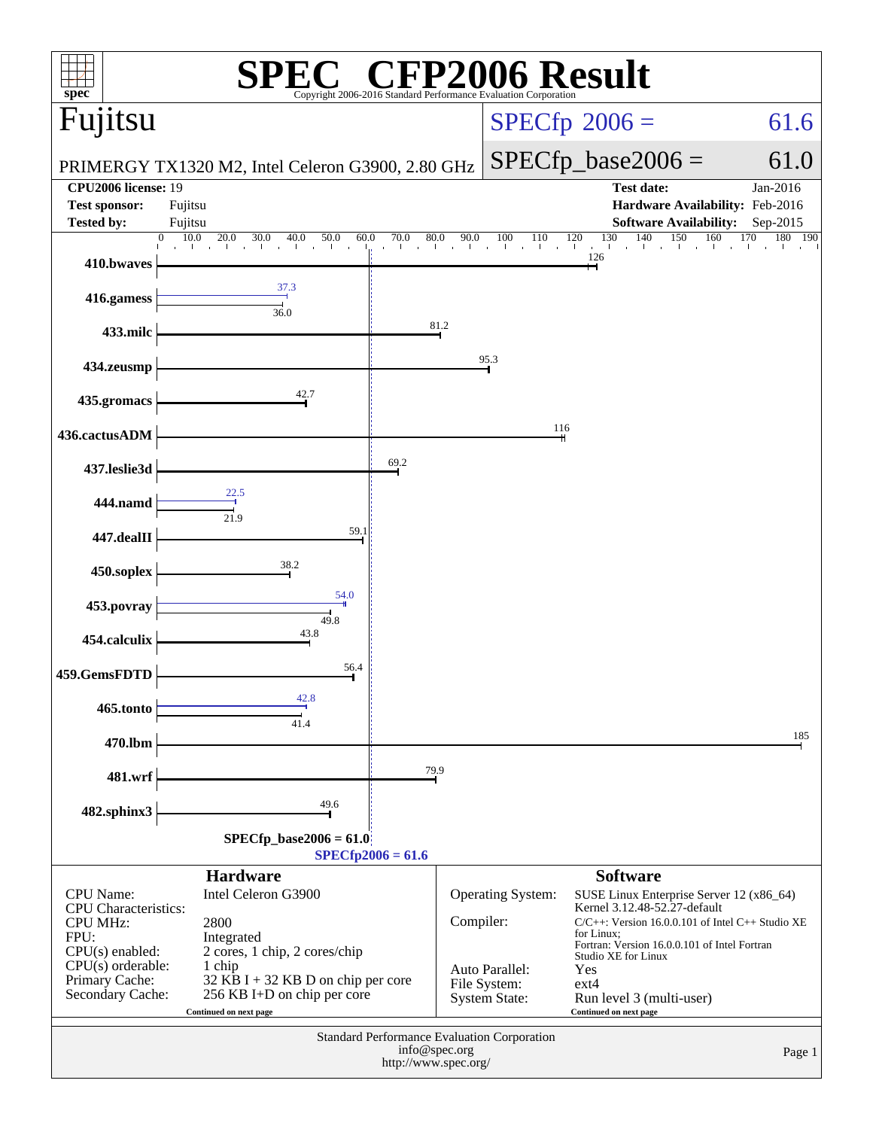| $spec^*$                                       |                                                                     | H)<br>$\bigcirc$                      |             | Copyright 2006-2016 Standard Performance Evaluation Corporation | P2006 Result                                                                                          |                                      |
|------------------------------------------------|---------------------------------------------------------------------|---------------------------------------|-------------|-----------------------------------------------------------------|-------------------------------------------------------------------------------------------------------|--------------------------------------|
| Fujitsu                                        |                                                                     |                                       |             |                                                                 | $SPECfp^{\circ}2006 =$                                                                                | 61.6                                 |
|                                                |                                                                     |                                       |             |                                                                 |                                                                                                       |                                      |
| <b>CPU2006</b> license: 19                     | PRIMERGY TX1320 M2, Intel Celeron G3900, 2.80 GHz                   |                                       |             |                                                                 | $SPECfp\_base2006 =$<br><b>Test date:</b>                                                             | 61.0<br>Jan-2016                     |
| <b>Test sponsor:</b>                           | Fujitsu                                                             |                                       |             |                                                                 | Hardware Availability: Feb-2016                                                                       |                                      |
| <b>Tested by:</b><br>$\Omega$                  | Fujitsu<br>10.0<br>20.0<br>30.0<br>40.0<br>50.0<br>60.0             | 80.0<br>70.0                          | 90.0        | 100<br>110                                                      | <b>Software Availability:</b><br>140<br>$\frac{120}{1}$ $\frac{130}{1}$ $\frac{140}{1}$<br>150<br>120 | Sep-2015<br>160<br>170<br>180<br>190 |
| 410.bwaves                                     | $\mathbf{I}$                                                        | distance.                             | all control | $\alpha$ .                                                      | 126                                                                                                   |                                      |
| 416.gamess                                     | 37.3                                                                |                                       |             |                                                                 |                                                                                                       |                                      |
| 433.milc                                       | 36.0                                                                | 81.2                                  |             |                                                                 |                                                                                                       |                                      |
| 434.zeusmp                                     |                                                                     |                                       |             | 95.3                                                            |                                                                                                       |                                      |
| 435.gromacs                                    | 42.7                                                                |                                       |             |                                                                 |                                                                                                       |                                      |
| 436.cactusADM                                  |                                                                     |                                       |             | 116                                                             |                                                                                                       |                                      |
| 437.leslie3d                                   |                                                                     | 69.2                                  |             |                                                                 |                                                                                                       |                                      |
| 444.namd                                       | 22.5<br>21.9                                                        |                                       |             |                                                                 |                                                                                                       |                                      |
| 447.dealII                                     | 59.1                                                                |                                       |             |                                                                 |                                                                                                       |                                      |
| 450.soplex                                     | 38.2                                                                |                                       |             |                                                                 |                                                                                                       |                                      |
| 453.povray                                     | 54.0                                                                |                                       |             |                                                                 |                                                                                                       |                                      |
| 454.calculix                                   | 49.8<br>43.8                                                        |                                       |             |                                                                 |                                                                                                       |                                      |
| 459.GemsFDTD                                   | 56.4                                                                |                                       |             |                                                                 |                                                                                                       |                                      |
| 465.tonto                                      | 42.8<br>41.4                                                        |                                       |             |                                                                 |                                                                                                       |                                      |
| 470.lbm                                        |                                                                     |                                       |             |                                                                 |                                                                                                       | 185                                  |
| 481.wrf                                        |                                                                     | 79.9                                  |             |                                                                 |                                                                                                       |                                      |
| 482.sphinx3                                    | 49.6                                                                |                                       |             |                                                                 |                                                                                                       |                                      |
|                                                | $SPECfp\_base2006 = 61.0$                                           |                                       |             |                                                                 |                                                                                                       |                                      |
|                                                | <b>Hardware</b>                                                     | $SPECfp2006 = 61.6$                   |             |                                                                 | <b>Software</b>                                                                                       |                                      |
| CPU Name:                                      | Intel Celeron G3900                                                 |                                       |             | <b>Operating System:</b>                                        | SUSE Linux Enterprise Server 12 (x86_64)                                                              |                                      |
| <b>CPU</b> Characteristics:<br><b>CPU MHz:</b> | 2800                                                                |                                       | Compiler:   |                                                                 | Kernel 3.12.48-52.27-default<br>$C/C++$ : Version 16.0.0.101 of Intel $C++$ Studio XE                 |                                      |
| FPU:<br>$CPU(s)$ enabled:                      | Integrated<br>2 cores, 1 chip, 2 cores/chip                         |                                       |             |                                                                 | for Linux;<br>Fortran: Version 16.0.0.101 of Intel Fortran                                            |                                      |
| $CPU(s)$ orderable:                            | 1 chip                                                              |                                       |             | Auto Parallel:                                                  | Studio XE for Linux<br>Yes                                                                            |                                      |
| Primary Cache:<br>Secondary Cache:             | $32$ KB I + 32 KB D on chip per core<br>256 KB I+D on chip per core |                                       |             | File System:<br><b>System State:</b>                            | $ext{4}$<br>Run level 3 (multi-user)                                                                  |                                      |
|                                                | Continued on next page                                              |                                       |             |                                                                 | Continued on next page                                                                                |                                      |
|                                                |                                                                     | info@spec.org<br>http://www.spec.org/ |             | Standard Performance Evaluation Corporation                     |                                                                                                       | Page 1                               |
|                                                |                                                                     |                                       |             |                                                                 |                                                                                                       |                                      |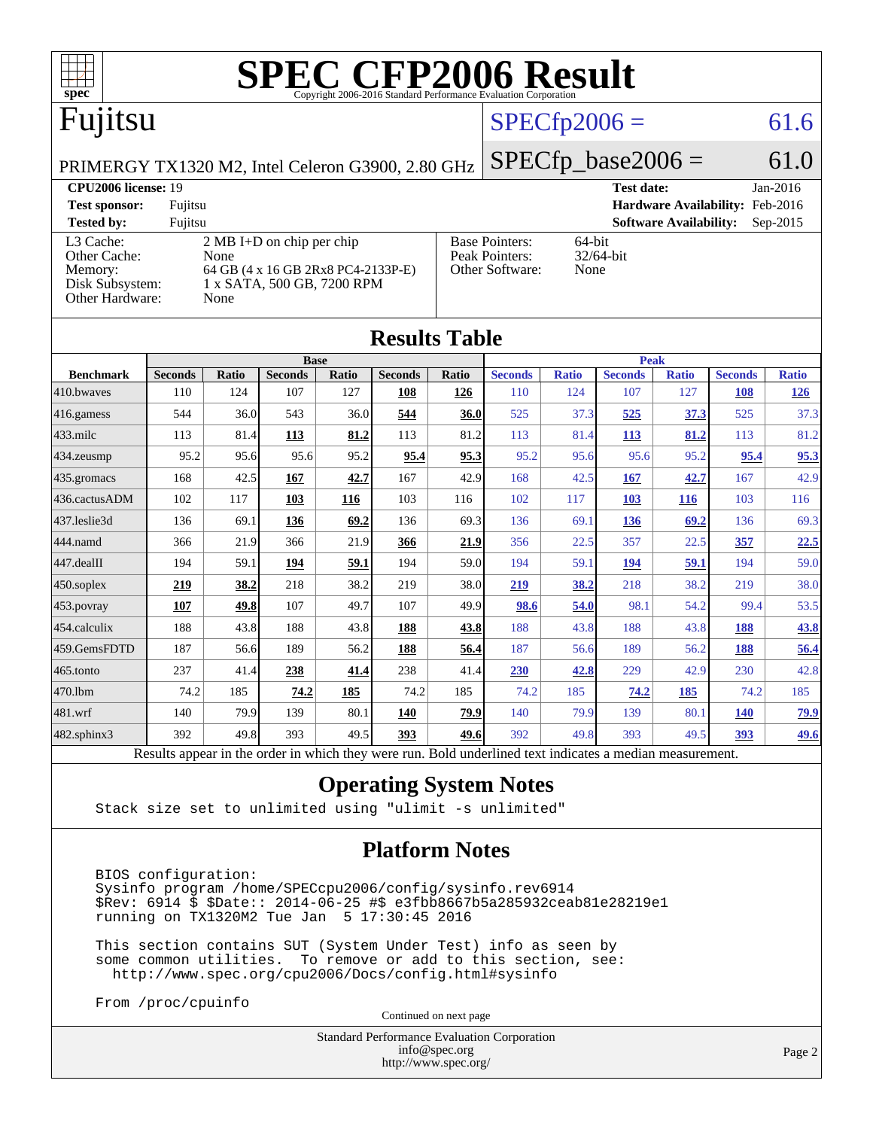

| IWUUW TUVIL       |                                                                                                          |       |                |       |                |       |                |              |                |              |                |              |
|-------------------|----------------------------------------------------------------------------------------------------------|-------|----------------|-------|----------------|-------|----------------|--------------|----------------|--------------|----------------|--------------|
|                   | <b>Base</b><br><b>Peak</b>                                                                               |       |                |       |                |       |                |              |                |              |                |              |
| <b>Benchmark</b>  | <b>Seconds</b>                                                                                           | Ratio | <b>Seconds</b> | Ratio | <b>Seconds</b> | Ratio | <b>Seconds</b> | <b>Ratio</b> | <b>Seconds</b> | <b>Ratio</b> | <b>Seconds</b> | <b>Ratio</b> |
| 410.bwayes        | 110                                                                                                      | 124   | 107            | 127   | 108            | 126   | 110            | 124          | 107            | 127          | 108            | <u>126</u>   |
| 416.gamess        | 544                                                                                                      | 36.0  | 543            | 36.0  | 544            | 36.0  | 525            | 37.3         | 525            | 37.3         | 525            | 37.3         |
| $433$ .milc       | 113                                                                                                      | 81.4  | 113            | 81.2  | 113            | 81.2  | 113            | 81.4         | 113            | 81.2         | 113            | 81.2         |
| 434.zeusmp        | 95.2                                                                                                     | 95.6  | 95.6           | 95.2  | 95.4           | 95.3  | 95.2           | 95.6         | 95.6           | 95.2         | 95.4           | 95.3         |
| 435.gromacs       | 168                                                                                                      | 42.5  | 167            | 42.7  | 167            | 42.9  | 168            | 42.5         | 167            | 42.7         | 167            | 42.9         |
| 436.cactusADM     | 102                                                                                                      | 117   | 103            | 116   | 103            | 116   | 102            | 117          | 103            | <b>116</b>   | 103            | 116          |
| 437.leslie3d      | 136                                                                                                      | 69.1  | 136            | 69.2  | 136            | 69.3  | 136            | 69.1         | <b>136</b>     | 69.2         | 136            | 69.3         |
| 444.namd          | 366                                                                                                      | 21.9  | 366            | 21.9  | 366            | 21.9  | 356            | 22.5         | 357            | 22.5         | 357            | 22.5         |
| 447.dealII        | 194                                                                                                      | 59.1  | 194            | 59.1  | 194            | 59.0  | 194            | 59.1         | 194            | 59.1         | 194            | 59.0         |
| $450$ .soplex     | 219                                                                                                      | 38.2  | 218            | 38.2  | 219            | 38.0  | 219            | 38.2         | 218            | 38.2         | 219            | 38.0         |
| 453.povray        | 107                                                                                                      | 49.8  | 107            | 49.7  | 107            | 49.9  | 98.6           | 54.0         | 98.1           | 54.2         | 99.4           | 53.5         |
| 454.calculix      | 188                                                                                                      | 43.8  | 188            | 43.8  | 188            | 43.8  | 188            | 43.8         | 188            | 43.8         | 188            | 43.8         |
| 459.GemsFDTD      | 187                                                                                                      | 56.6  | 189            | 56.2  | 188            | 56.4  | 187            | 56.6         | 189            | 56.2         | 188            | 56.4         |
| 465.tonto         | 237                                                                                                      | 41.4  | 238            | 41.4  | 238            | 41.4  | 230            | 42.8         | 229            | 42.9         | 230            | 42.8         |
| 470.1bm           | 74.2                                                                                                     | 185   | 74.2           | 185   | 74.2           | 185   | 74.2           | 185          | 74.2           | 185          | 74.2           | 185          |
| 481.wrf           | 140                                                                                                      | 79.9  | 139            | 80.1  | 140            | 79.9  | 140            | 79.9         | 139            | 80.1         | <b>140</b>     | <u>79.9</u>  |
| $482$ .sphinx $3$ | 392                                                                                                      | 49.8  | 393            | 49.5  | 393            | 49.6  | 392            | 49.8         | 393            | 49.5         | 393            | <u>49.6</u>  |
|                   | Results appear in the order in which they were run. Bold underlined text indicates a median measurement. |       |                |       |                |       |                |              |                |              |                |              |

### **[Operating System Notes](http://www.spec.org/auto/cpu2006/Docs/result-fields.html#OperatingSystemNotes)**

Stack size set to unlimited using "ulimit -s unlimited"

### **[Platform Notes](http://www.spec.org/auto/cpu2006/Docs/result-fields.html#PlatformNotes)**

 BIOS configuration: Sysinfo program /home/SPECcpu2006/config/sysinfo.rev6914 \$Rev: 6914 \$ \$Date:: 2014-06-25 #\$ e3fbb8667b5a285932ceab81e28219e1 running on TX1320M2 Tue Jan 5 17:30:45 2016

 This section contains SUT (System Under Test) info as seen by some common utilities. To remove or add to this section, see: <http://www.spec.org/cpu2006/Docs/config.html#sysinfo>

From /proc/cpuinfo

Continued on next page

Standard Performance Evaluation Corporation [info@spec.org](mailto:info@spec.org) <http://www.spec.org/>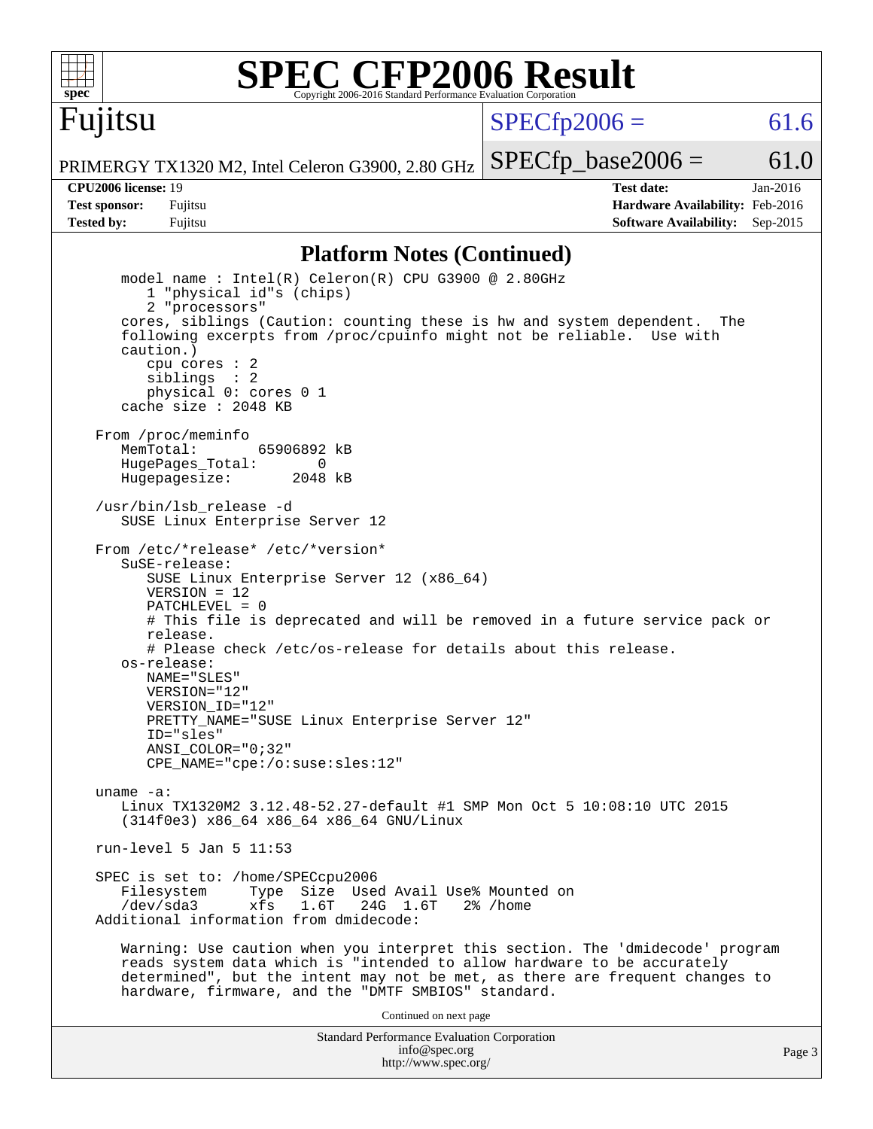

Fujitsu

# **[SPEC CFP2006 Result](http://www.spec.org/auto/cpu2006/Docs/result-fields.html#SPECCFP2006Result)**

 $SPECTp2006 = 61.6$ 

PRIMERGY TX1320 M2, Intel Celeron G3900, 2.80 GHz

 $SPECTp\_base2006 = 61.0$ 

**[CPU2006 license:](http://www.spec.org/auto/cpu2006/Docs/result-fields.html#CPU2006license)** 19 **[Test date:](http://www.spec.org/auto/cpu2006/Docs/result-fields.html#Testdate)** Jan-2016 **[Test sponsor:](http://www.spec.org/auto/cpu2006/Docs/result-fields.html#Testsponsor)** Fujitsu **[Hardware Availability:](http://www.spec.org/auto/cpu2006/Docs/result-fields.html#HardwareAvailability)** Feb-2016 **[Tested by:](http://www.spec.org/auto/cpu2006/Docs/result-fields.html#Testedby)** Fujitsu **Fugital Example 2015 [Software Availability:](http://www.spec.org/auto/cpu2006/Docs/result-fields.html#SoftwareAvailability)** Sep-2015

### **[Platform Notes \(Continued\)](http://www.spec.org/auto/cpu2006/Docs/result-fields.html#PlatformNotes)**

Standard Performance Evaluation Corporation [info@spec.org](mailto:info@spec.org) model name : Intel(R) Celeron(R) CPU G3900 @ 2.80GHz 1 "physical id"s (chips) 2 "processors" cores, siblings (Caution: counting these is hw and system dependent. The following excerpts from /proc/cpuinfo might not be reliable. Use with caution.) cpu cores : 2 siblings : 2 physical 0: cores 0 1 cache size : 2048 KB From /proc/meminfo MemTotal: 65906892 kB HugePages\_Total: 0<br>Hugepagesize: 2048 kB Hugepagesize: /usr/bin/lsb\_release -d SUSE Linux Enterprise Server 12 From /etc/\*release\* /etc/\*version\* SuSE-release: SUSE Linux Enterprise Server 12 (x86\_64)  $VFRSTON = 12$  PATCHLEVEL = 0 # This file is deprecated and will be removed in a future service pack or release. # Please check /etc/os-release for details about this release. os-release: NAME="SLES" VERSION="12" VERSION\_ID="12" PRETTY\_NAME="SUSE Linux Enterprise Server 12" ID="sles" ANSI\_COLOR="0;32" CPE\_NAME="cpe:/o:suse:sles:12" uname -a: Linux TX1320M2 3.12.48-52.27-default #1 SMP Mon Oct 5 10:08:10 UTC 2015 (314f0e3) x86\_64 x86\_64 x86\_64 GNU/Linux run-level 5 Jan 5 11:53 SPEC is set to: /home/SPECcpu2006<br>Filesystem Type Size Use Type Size Used Avail Use% Mounted on /dev/sda3 xfs 1.6T 24G 1.6T 2% /home Additional information from dmidecode: Warning: Use caution when you interpret this section. The 'dmidecode' program reads system data which is "intended to allow hardware to be accurately determined", but the intent may not be met, as there are frequent changes to hardware, firmware, and the "DMTF SMBIOS" standard. Continued on next page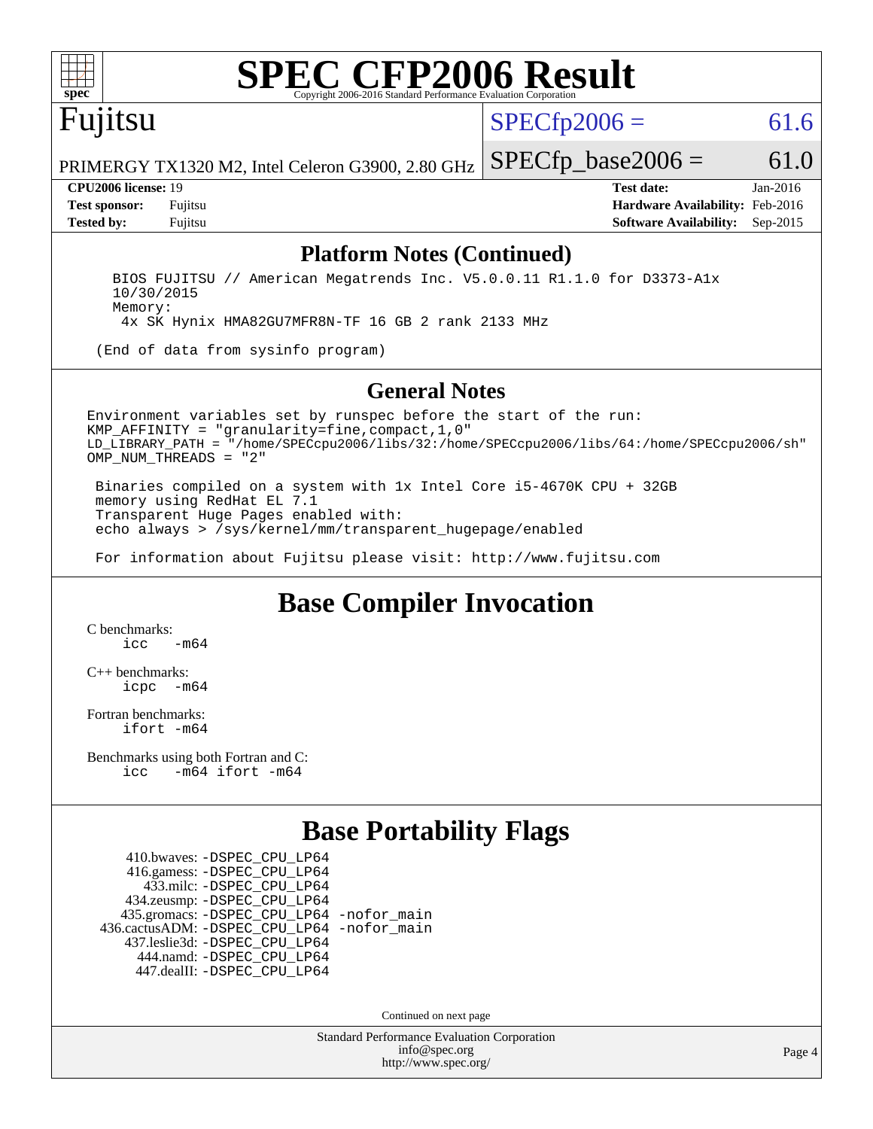

# **[SPEC CFP2006 Result](http://www.spec.org/auto/cpu2006/Docs/result-fields.html#SPECCFP2006Result)**

 $SPECTp2006 = 61.6$ 

PRIMERGY TX1320 M2, Intel Celeron G3900, 2.80 GHz

Fujitsu

**[Tested by:](http://www.spec.org/auto/cpu2006/Docs/result-fields.html#Testedby)** Fujitsu **[Software Availability:](http://www.spec.org/auto/cpu2006/Docs/result-fields.html#SoftwareAvailability)** Sep-2015

**[CPU2006 license:](http://www.spec.org/auto/cpu2006/Docs/result-fields.html#CPU2006license)** 19 **[Test date:](http://www.spec.org/auto/cpu2006/Docs/result-fields.html#Testdate)** Jan-2016 **[Test sponsor:](http://www.spec.org/auto/cpu2006/Docs/result-fields.html#Testsponsor)** Fujitsu **[Hardware Availability:](http://www.spec.org/auto/cpu2006/Docs/result-fields.html#HardwareAvailability)** Feb-2016

 $SPECfp\_base2006 = 61.0$ 

### **[Platform Notes \(Continued\)](http://www.spec.org/auto/cpu2006/Docs/result-fields.html#PlatformNotes)**

 BIOS FUJITSU // American Megatrends Inc. V5.0.0.11 R1.1.0 for D3373-A1x 10/30/2015 Memory: 4x SK Hynix HMA82GU7MFR8N-TF 16 GB 2 rank 2133 MHz

(End of data from sysinfo program)

#### **[General Notes](http://www.spec.org/auto/cpu2006/Docs/result-fields.html#GeneralNotes)**

Environment variables set by runspec before the start of the run: KMP\_AFFINITY = "granularity=fine,compact,1,0" LD\_LIBRARY\_PATH = "/home/SPECcpu2006/libs/32:/home/SPECcpu2006/libs/64:/home/SPECcpu2006/sh" OMP NUM THREADS = "2"

 Binaries compiled on a system with 1x Intel Core i5-4670K CPU + 32GB memory using RedHat EL 7.1 Transparent Huge Pages enabled with: echo always > /sys/kernel/mm/transparent\_hugepage/enabled

For information about Fujitsu please visit: <http://www.fujitsu.com>

## **[Base Compiler Invocation](http://www.spec.org/auto/cpu2006/Docs/result-fields.html#BaseCompilerInvocation)**

[C benchmarks](http://www.spec.org/auto/cpu2006/Docs/result-fields.html#Cbenchmarks):  $irc = m64$ 

[C++ benchmarks:](http://www.spec.org/auto/cpu2006/Docs/result-fields.html#CXXbenchmarks) [icpc -m64](http://www.spec.org/cpu2006/results/res2016q1/cpu2006-20160111-38685.flags.html#user_CXXbase_intel_icpc_64bit_bedb90c1146cab66620883ef4f41a67e)

[Fortran benchmarks](http://www.spec.org/auto/cpu2006/Docs/result-fields.html#Fortranbenchmarks): [ifort -m64](http://www.spec.org/cpu2006/results/res2016q1/cpu2006-20160111-38685.flags.html#user_FCbase_intel_ifort_64bit_ee9d0fb25645d0210d97eb0527dcc06e)

[Benchmarks using both Fortran and C](http://www.spec.org/auto/cpu2006/Docs/result-fields.html#BenchmarksusingbothFortranandC): [icc -m64](http://www.spec.org/cpu2006/results/res2016q1/cpu2006-20160111-38685.flags.html#user_CC_FCbase_intel_icc_64bit_0b7121f5ab7cfabee23d88897260401c) [ifort -m64](http://www.spec.org/cpu2006/results/res2016q1/cpu2006-20160111-38685.flags.html#user_CC_FCbase_intel_ifort_64bit_ee9d0fb25645d0210d97eb0527dcc06e)

## **[Base Portability Flags](http://www.spec.org/auto/cpu2006/Docs/result-fields.html#BasePortabilityFlags)**

 410.bwaves: [-DSPEC\\_CPU\\_LP64](http://www.spec.org/cpu2006/results/res2016q1/cpu2006-20160111-38685.flags.html#suite_basePORTABILITY410_bwaves_DSPEC_CPU_LP64) 416.gamess: [-DSPEC\\_CPU\\_LP64](http://www.spec.org/cpu2006/results/res2016q1/cpu2006-20160111-38685.flags.html#suite_basePORTABILITY416_gamess_DSPEC_CPU_LP64) 433.milc: [-DSPEC\\_CPU\\_LP64](http://www.spec.org/cpu2006/results/res2016q1/cpu2006-20160111-38685.flags.html#suite_basePORTABILITY433_milc_DSPEC_CPU_LP64) 434.zeusmp: [-DSPEC\\_CPU\\_LP64](http://www.spec.org/cpu2006/results/res2016q1/cpu2006-20160111-38685.flags.html#suite_basePORTABILITY434_zeusmp_DSPEC_CPU_LP64) 435.gromacs: [-DSPEC\\_CPU\\_LP64](http://www.spec.org/cpu2006/results/res2016q1/cpu2006-20160111-38685.flags.html#suite_basePORTABILITY435_gromacs_DSPEC_CPU_LP64) [-nofor\\_main](http://www.spec.org/cpu2006/results/res2016q1/cpu2006-20160111-38685.flags.html#user_baseLDPORTABILITY435_gromacs_f-nofor_main) 436.cactusADM: [-DSPEC\\_CPU\\_LP64](http://www.spec.org/cpu2006/results/res2016q1/cpu2006-20160111-38685.flags.html#suite_basePORTABILITY436_cactusADM_DSPEC_CPU_LP64) [-nofor\\_main](http://www.spec.org/cpu2006/results/res2016q1/cpu2006-20160111-38685.flags.html#user_baseLDPORTABILITY436_cactusADM_f-nofor_main) 437.leslie3d: [-DSPEC\\_CPU\\_LP64](http://www.spec.org/cpu2006/results/res2016q1/cpu2006-20160111-38685.flags.html#suite_basePORTABILITY437_leslie3d_DSPEC_CPU_LP64) 444.namd: [-DSPEC\\_CPU\\_LP64](http://www.spec.org/cpu2006/results/res2016q1/cpu2006-20160111-38685.flags.html#suite_basePORTABILITY444_namd_DSPEC_CPU_LP64) 447.dealII: [-DSPEC\\_CPU\\_LP64](http://www.spec.org/cpu2006/results/res2016q1/cpu2006-20160111-38685.flags.html#suite_basePORTABILITY447_dealII_DSPEC_CPU_LP64)

Continued on next page

Standard Performance Evaluation Corporation [info@spec.org](mailto:info@spec.org) <http://www.spec.org/>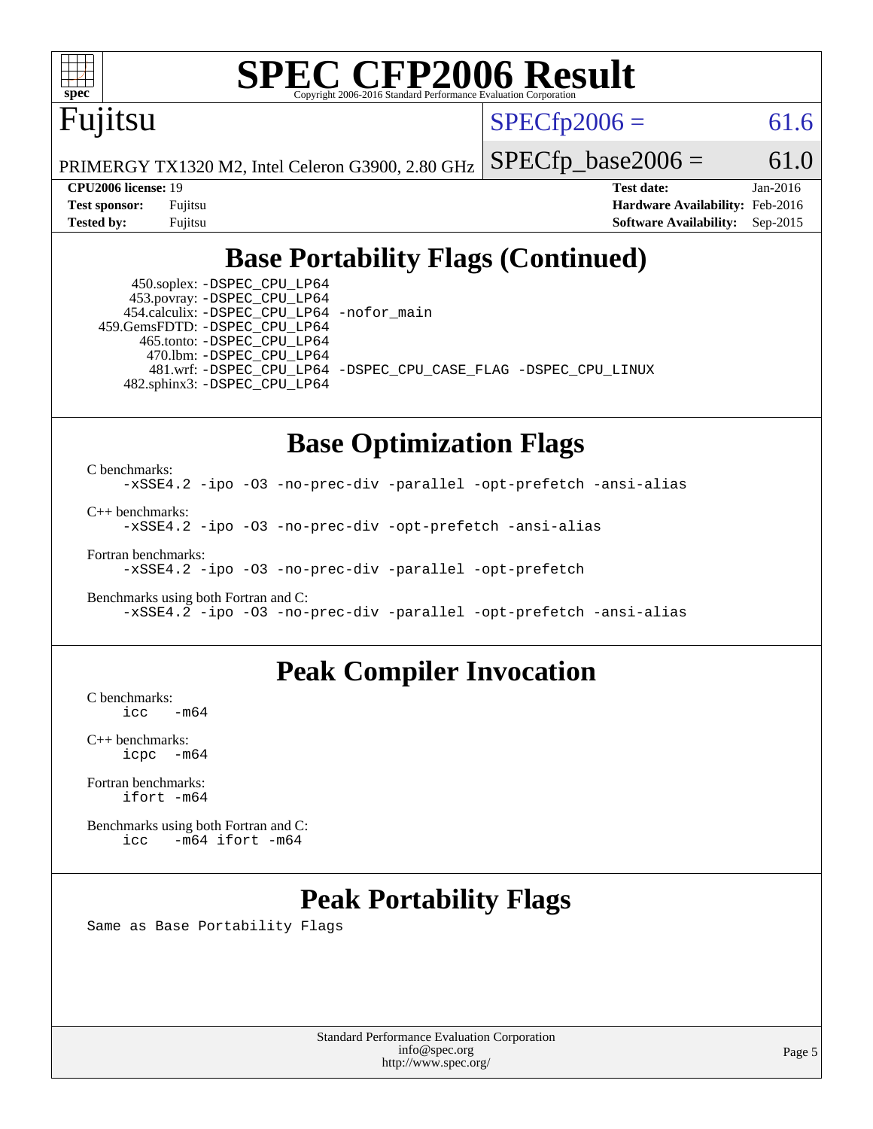

# **[SPEC CFP2006 Result](http://www.spec.org/auto/cpu2006/Docs/result-fields.html#SPECCFP2006Result)**

Fujitsu

 $SPECTp2006 = 61.6$ 

PRIMERGY TX1320 M2, Intel Celeron G3900, 2.80 GHz

 $SPECfp\_base2006 = 61.0$ 

**[CPU2006 license:](http://www.spec.org/auto/cpu2006/Docs/result-fields.html#CPU2006license)** 19 **[Test date:](http://www.spec.org/auto/cpu2006/Docs/result-fields.html#Testdate)** Jan-2016 **[Test sponsor:](http://www.spec.org/auto/cpu2006/Docs/result-fields.html#Testsponsor)** Fujitsu **[Hardware Availability:](http://www.spec.org/auto/cpu2006/Docs/result-fields.html#HardwareAvailability)** Feb-2016 **[Tested by:](http://www.spec.org/auto/cpu2006/Docs/result-fields.html#Testedby)** Fujitsu **[Software Availability:](http://www.spec.org/auto/cpu2006/Docs/result-fields.html#SoftwareAvailability)** Sep-2015

## **[Base Portability Flags \(Continued\)](http://www.spec.org/auto/cpu2006/Docs/result-fields.html#BasePortabilityFlags)**

 450.soplex: [-DSPEC\\_CPU\\_LP64](http://www.spec.org/cpu2006/results/res2016q1/cpu2006-20160111-38685.flags.html#suite_basePORTABILITY450_soplex_DSPEC_CPU_LP64) 453.povray: [-DSPEC\\_CPU\\_LP64](http://www.spec.org/cpu2006/results/res2016q1/cpu2006-20160111-38685.flags.html#suite_basePORTABILITY453_povray_DSPEC_CPU_LP64) 454.calculix: [-DSPEC\\_CPU\\_LP64](http://www.spec.org/cpu2006/results/res2016q1/cpu2006-20160111-38685.flags.html#suite_basePORTABILITY454_calculix_DSPEC_CPU_LP64) [-nofor\\_main](http://www.spec.org/cpu2006/results/res2016q1/cpu2006-20160111-38685.flags.html#user_baseLDPORTABILITY454_calculix_f-nofor_main) 459.GemsFDTD: [-DSPEC\\_CPU\\_LP64](http://www.spec.org/cpu2006/results/res2016q1/cpu2006-20160111-38685.flags.html#suite_basePORTABILITY459_GemsFDTD_DSPEC_CPU_LP64) 465.tonto: [-DSPEC\\_CPU\\_LP64](http://www.spec.org/cpu2006/results/res2016q1/cpu2006-20160111-38685.flags.html#suite_basePORTABILITY465_tonto_DSPEC_CPU_LP64) 470.lbm: [-DSPEC\\_CPU\\_LP64](http://www.spec.org/cpu2006/results/res2016q1/cpu2006-20160111-38685.flags.html#suite_basePORTABILITY470_lbm_DSPEC_CPU_LP64) 482.sphinx3: [-DSPEC\\_CPU\\_LP64](http://www.spec.org/cpu2006/results/res2016q1/cpu2006-20160111-38685.flags.html#suite_basePORTABILITY482_sphinx3_DSPEC_CPU_LP64)

481.wrf: [-DSPEC\\_CPU\\_LP64](http://www.spec.org/cpu2006/results/res2016q1/cpu2006-20160111-38685.flags.html#suite_basePORTABILITY481_wrf_DSPEC_CPU_LP64) [-DSPEC\\_CPU\\_CASE\\_FLAG](http://www.spec.org/cpu2006/results/res2016q1/cpu2006-20160111-38685.flags.html#b481.wrf_baseCPORTABILITY_DSPEC_CPU_CASE_FLAG) [-DSPEC\\_CPU\\_LINUX](http://www.spec.org/cpu2006/results/res2016q1/cpu2006-20160111-38685.flags.html#b481.wrf_baseCPORTABILITY_DSPEC_CPU_LINUX)

## **[Base Optimization Flags](http://www.spec.org/auto/cpu2006/Docs/result-fields.html#BaseOptimizationFlags)**

[C benchmarks](http://www.spec.org/auto/cpu2006/Docs/result-fields.html#Cbenchmarks): [-xSSE4.2](http://www.spec.org/cpu2006/results/res2016q1/cpu2006-20160111-38685.flags.html#user_CCbase_f-xSSE42_f91528193cf0b216347adb8b939d4107) [-ipo](http://www.spec.org/cpu2006/results/res2016q1/cpu2006-20160111-38685.flags.html#user_CCbase_f-ipo) [-O3](http://www.spec.org/cpu2006/results/res2016q1/cpu2006-20160111-38685.flags.html#user_CCbase_f-O3) [-no-prec-div](http://www.spec.org/cpu2006/results/res2016q1/cpu2006-20160111-38685.flags.html#user_CCbase_f-no-prec-div) [-parallel](http://www.spec.org/cpu2006/results/res2016q1/cpu2006-20160111-38685.flags.html#user_CCbase_f-parallel) [-opt-prefetch](http://www.spec.org/cpu2006/results/res2016q1/cpu2006-20160111-38685.flags.html#user_CCbase_f-opt-prefetch) [-ansi-alias](http://www.spec.org/cpu2006/results/res2016q1/cpu2006-20160111-38685.flags.html#user_CCbase_f-ansi-alias) [C++ benchmarks:](http://www.spec.org/auto/cpu2006/Docs/result-fields.html#CXXbenchmarks) [-xSSE4.2](http://www.spec.org/cpu2006/results/res2016q1/cpu2006-20160111-38685.flags.html#user_CXXbase_f-xSSE42_f91528193cf0b216347adb8b939d4107) [-ipo](http://www.spec.org/cpu2006/results/res2016q1/cpu2006-20160111-38685.flags.html#user_CXXbase_f-ipo) [-O3](http://www.spec.org/cpu2006/results/res2016q1/cpu2006-20160111-38685.flags.html#user_CXXbase_f-O3) [-no-prec-div](http://www.spec.org/cpu2006/results/res2016q1/cpu2006-20160111-38685.flags.html#user_CXXbase_f-no-prec-div) [-opt-prefetch](http://www.spec.org/cpu2006/results/res2016q1/cpu2006-20160111-38685.flags.html#user_CXXbase_f-opt-prefetch) [-ansi-alias](http://www.spec.org/cpu2006/results/res2016q1/cpu2006-20160111-38685.flags.html#user_CXXbase_f-ansi-alias) [Fortran benchmarks](http://www.spec.org/auto/cpu2006/Docs/result-fields.html#Fortranbenchmarks):

[-xSSE4.2](http://www.spec.org/cpu2006/results/res2016q1/cpu2006-20160111-38685.flags.html#user_FCbase_f-xSSE42_f91528193cf0b216347adb8b939d4107) [-ipo](http://www.spec.org/cpu2006/results/res2016q1/cpu2006-20160111-38685.flags.html#user_FCbase_f-ipo) [-O3](http://www.spec.org/cpu2006/results/res2016q1/cpu2006-20160111-38685.flags.html#user_FCbase_f-O3) [-no-prec-div](http://www.spec.org/cpu2006/results/res2016q1/cpu2006-20160111-38685.flags.html#user_FCbase_f-no-prec-div) [-parallel](http://www.spec.org/cpu2006/results/res2016q1/cpu2006-20160111-38685.flags.html#user_FCbase_f-parallel) [-opt-prefetch](http://www.spec.org/cpu2006/results/res2016q1/cpu2006-20160111-38685.flags.html#user_FCbase_f-opt-prefetch)

[Benchmarks using both Fortran and C](http://www.spec.org/auto/cpu2006/Docs/result-fields.html#BenchmarksusingbothFortranandC): [-xSSE4.2](http://www.spec.org/cpu2006/results/res2016q1/cpu2006-20160111-38685.flags.html#user_CC_FCbase_f-xSSE42_f91528193cf0b216347adb8b939d4107) [-ipo](http://www.spec.org/cpu2006/results/res2016q1/cpu2006-20160111-38685.flags.html#user_CC_FCbase_f-ipo) [-O3](http://www.spec.org/cpu2006/results/res2016q1/cpu2006-20160111-38685.flags.html#user_CC_FCbase_f-O3) [-no-prec-div](http://www.spec.org/cpu2006/results/res2016q1/cpu2006-20160111-38685.flags.html#user_CC_FCbase_f-no-prec-div) [-parallel](http://www.spec.org/cpu2006/results/res2016q1/cpu2006-20160111-38685.flags.html#user_CC_FCbase_f-parallel) [-opt-prefetch](http://www.spec.org/cpu2006/results/res2016q1/cpu2006-20160111-38685.flags.html#user_CC_FCbase_f-opt-prefetch) [-ansi-alias](http://www.spec.org/cpu2006/results/res2016q1/cpu2006-20160111-38685.flags.html#user_CC_FCbase_f-ansi-alias)

### **[Peak Compiler Invocation](http://www.spec.org/auto/cpu2006/Docs/result-fields.html#PeakCompilerInvocation)**

 $C$  benchmarks:<br>icc  $-m64$ 

[C++ benchmarks:](http://www.spec.org/auto/cpu2006/Docs/result-fields.html#CXXbenchmarks) [icpc -m64](http://www.spec.org/cpu2006/results/res2016q1/cpu2006-20160111-38685.flags.html#user_CXXpeak_intel_icpc_64bit_bedb90c1146cab66620883ef4f41a67e)

[Fortran benchmarks](http://www.spec.org/auto/cpu2006/Docs/result-fields.html#Fortranbenchmarks): [ifort -m64](http://www.spec.org/cpu2006/results/res2016q1/cpu2006-20160111-38685.flags.html#user_FCpeak_intel_ifort_64bit_ee9d0fb25645d0210d97eb0527dcc06e)

[Benchmarks using both Fortran and C](http://www.spec.org/auto/cpu2006/Docs/result-fields.html#BenchmarksusingbothFortranandC): [icc -m64](http://www.spec.org/cpu2006/results/res2016q1/cpu2006-20160111-38685.flags.html#user_CC_FCpeak_intel_icc_64bit_0b7121f5ab7cfabee23d88897260401c) [ifort -m64](http://www.spec.org/cpu2006/results/res2016q1/cpu2006-20160111-38685.flags.html#user_CC_FCpeak_intel_ifort_64bit_ee9d0fb25645d0210d97eb0527dcc06e)

## **[Peak Portability Flags](http://www.spec.org/auto/cpu2006/Docs/result-fields.html#PeakPortabilityFlags)**

Same as Base Portability Flags

Standard Performance Evaluation Corporation [info@spec.org](mailto:info@spec.org) <http://www.spec.org/>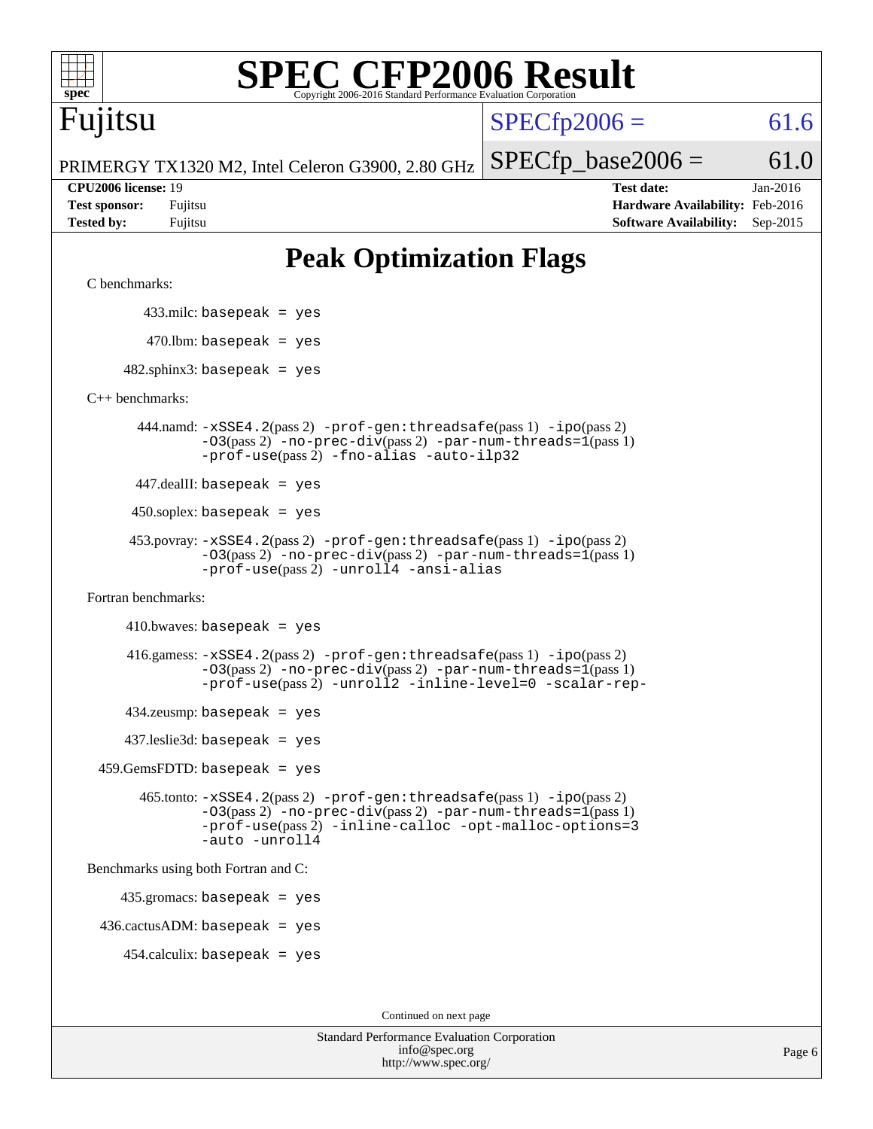# **[SPEC CFP2006 Result](http://www.spec.org/auto/cpu2006/Docs/result-fields.html#SPECCFP2006Result)**

Fujitsu

 $SPECfp2006 = 61.6$  $SPECfp2006 = 61.6$ 

PRIMERGY TX1320 M2, Intel Celeron G3900, 2.80 GHz

**[CPU2006 license:](http://www.spec.org/auto/cpu2006/Docs/result-fields.html#CPU2006license)** 19 **[Test date:](http://www.spec.org/auto/cpu2006/Docs/result-fields.html#Testdate)** Jan-2016 **[Test sponsor:](http://www.spec.org/auto/cpu2006/Docs/result-fields.html#Testsponsor)** Fujitsu **[Hardware Availability:](http://www.spec.org/auto/cpu2006/Docs/result-fields.html#HardwareAvailability)** Feb-2016 **[Tested by:](http://www.spec.org/auto/cpu2006/Docs/result-fields.html#Testedby)** Fujitsu **[Software Availability:](http://www.spec.org/auto/cpu2006/Docs/result-fields.html#SoftwareAvailability)** Sep-2015

 $SPECTp\_base2006 = 61.0$ 

# **[Peak Optimization Flags](http://www.spec.org/auto/cpu2006/Docs/result-fields.html#PeakOptimizationFlags)**

[C benchmarks](http://www.spec.org/auto/cpu2006/Docs/result-fields.html#Cbenchmarks):

433.milc: basepeak = yes

 $470.$ lbm: basepeak = yes

 $482$ .sphinx3: basepeak = yes

[C++ benchmarks:](http://www.spec.org/auto/cpu2006/Docs/result-fields.html#CXXbenchmarks)

 444.namd: [-xSSE4.2](http://www.spec.org/cpu2006/results/res2016q1/cpu2006-20160111-38685.flags.html#user_peakPASS2_CXXFLAGSPASS2_LDFLAGS444_namd_f-xSSE42_f91528193cf0b216347adb8b939d4107)(pass 2) [-prof-gen:threadsafe](http://www.spec.org/cpu2006/results/res2016q1/cpu2006-20160111-38685.flags.html#user_peakPASS1_CXXFLAGSPASS1_LDFLAGS444_namd_prof_gen_21a26eb79f378b550acd7bec9fe4467a)(pass 1) [-ipo](http://www.spec.org/cpu2006/results/res2016q1/cpu2006-20160111-38685.flags.html#user_peakPASS2_CXXFLAGSPASS2_LDFLAGS444_namd_f-ipo)(pass 2) [-O3](http://www.spec.org/cpu2006/results/res2016q1/cpu2006-20160111-38685.flags.html#user_peakPASS2_CXXFLAGSPASS2_LDFLAGS444_namd_f-O3)(pass 2) [-no-prec-div](http://www.spec.org/cpu2006/results/res2016q1/cpu2006-20160111-38685.flags.html#user_peakPASS2_CXXFLAGSPASS2_LDFLAGS444_namd_f-no-prec-div)(pass 2) [-par-num-threads=1](http://www.spec.org/cpu2006/results/res2016q1/cpu2006-20160111-38685.flags.html#user_peakPASS1_CXXFLAGSPASS1_LDFLAGS444_namd_par_num_threads_786a6ff141b4e9e90432e998842df6c2)(pass 1) [-prof-use](http://www.spec.org/cpu2006/results/res2016q1/cpu2006-20160111-38685.flags.html#user_peakPASS2_CXXFLAGSPASS2_LDFLAGS444_namd_prof_use_bccf7792157ff70d64e32fe3e1250b55)(pass 2) [-fno-alias](http://www.spec.org/cpu2006/results/res2016q1/cpu2006-20160111-38685.flags.html#user_peakCXXOPTIMIZEOPTIMIZE444_namd_f-no-alias_694e77f6c5a51e658e82ccff53a9e63a) [-auto-ilp32](http://www.spec.org/cpu2006/results/res2016q1/cpu2006-20160111-38685.flags.html#user_peakCXXOPTIMIZE444_namd_f-auto-ilp32)

447.dealII: basepeak = yes

 $450$ .soplex: basepeak = yes

```
 453.povray: -xSSE4.2(pass 2) -prof-gen:threadsafe(pass 1) -ipo(pass 2)
         -03(pass 2)-no-prec-div-par-num-threads=1(pass 1)
         -prof-use(pass 2) -unroll4 -ansi-alias
```
[Fortran benchmarks](http://www.spec.org/auto/cpu2006/Docs/result-fields.html#Fortranbenchmarks):

```
410.bwaves: basepeak = yes 416.gamess: -xSSE4.2(pass 2) -prof-gen:threadsafe(pass 1) -ipo(pass 2)
               -O3(pass 2) -no-prec-div(pass 2) -par-num-threads=1(pass 1)
               -prof-use(pass 2) -unroll2 -inline-level=0 -scalar-rep-
     434.zeusmp: basepeak = yes
      437.leslie3d: basepeak = yes
  459.GemsFDTD: basepeak = yes
        465.tonto: -xSSE4.2(pass 2) -prof-gen:threadsafe(pass 1) -ipo(pass 2)
               -O3(pass 2) -no-prec-div(pass 2) -par-num-threads=1(pass 1)
               -prof-use(pass 2) -inline-calloc -opt-malloc-options=3
               -auto -unroll4
Benchmarks using both Fortran and C:
```
435.gromacs: basepeak = yes

 $436.cactusADM: basepeak = yes$ 

454.calculix: basepeak = yes

Continued on next page